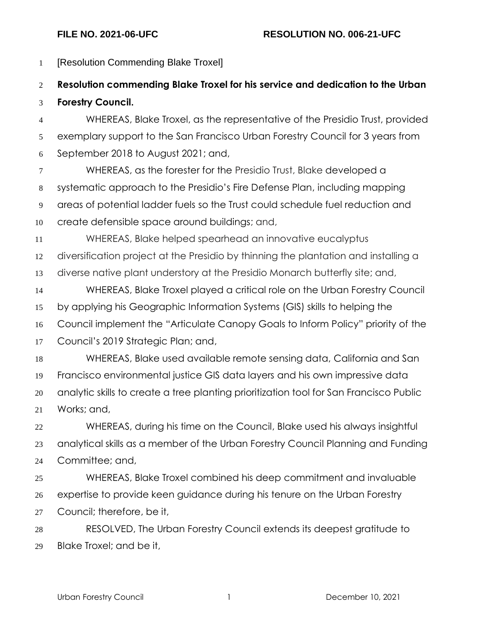[Resolution Commending Blake Troxel] **Resolution commending Blake Troxel for his service and dedication to the Urban** 

## **Forestry Council.**

 WHEREAS, Blake Troxel, as the representative of the Presidio Trust, provided exemplary support to the San Francisco Urban Forestry Council for 3 years from September 2018 to August 2021; and,

 WHEREAS, as the forester for the Presidio Trust, Blake developed a systematic approach to the Presidio's Fire Defense Plan, including mapping areas of potential ladder fuels so the Trust could schedule fuel reduction and create defensible space around buildings; and,

WHEREAS, Blake helped spearhead an innovative eucalyptus

diversification project at the Presidio by thinning the plantation and installing a

diverse native plant understory at the Presidio Monarch butterfly site; and,

 WHEREAS, Blake Troxel played a critical role on the Urban Forestry Council by applying his Geographic Information Systems (GIS) skills to helping the Council implement the "Articulate Canopy Goals to Inform Policy" priority of the

Council's 2019 Strategic Plan; and,

 WHEREAS, Blake used available remote sensing data, California and San Francisco environmental justice GIS data layers and his own impressive data analytic skills to create a tree planting prioritization tool for San Francisco Public Works; and,

 WHEREAS, during his time on the Council, Blake used his always insightful analytical skills as a member of the Urban Forestry Council Planning and Funding Committee; and,

 WHEREAS, Blake Troxel combined his deep commitment and invaluable expertise to provide keen guidance during his tenure on the Urban Forestry Council; therefore, be it,

 RESOLVED, The Urban Forestry Council extends its deepest gratitude to Blake Troxel; and be it,